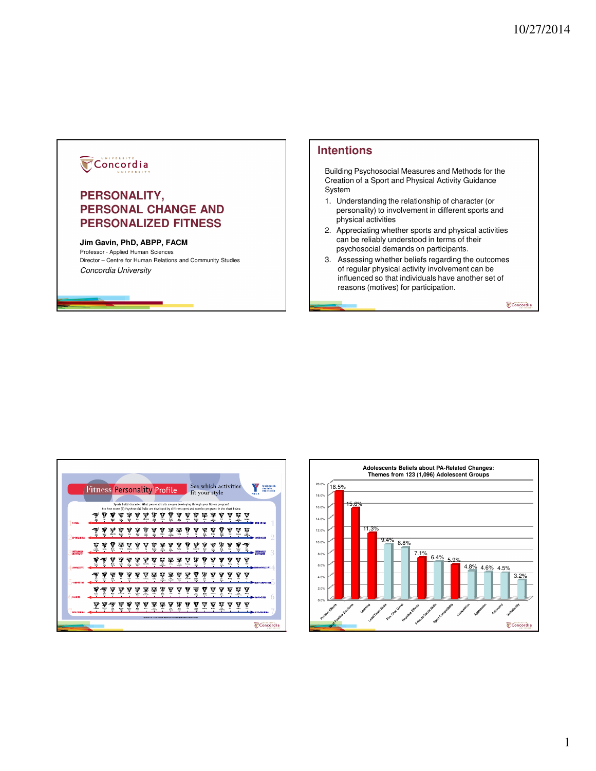## Concordia

## **PERSONALITY, PERSONAL CHANGE AND PERSONALIZED FITNESS**

## **Jim Gavin, PhD, ABPP, FACM**

Professor - Applied Human Sciences Director – Centre for Human Relations and Community Studies Concordia University

## **Intentions**

Building Psychosocial Measures and Methods for the Creation of a Sport and Physical Activity Guidance System

- 1. Understanding the relationship of character (or personality) to involvement in different sports and physical activities
- 2. Appreciating whether sports and physical activities can be reliably understood in terms of their psychosocial demands on participants.
- 3. Assessing whether beliefs regarding the outcomes of regular physical activity involvement can be influenced so that individuals have another set of reasons (motives) for participation.

Concordia



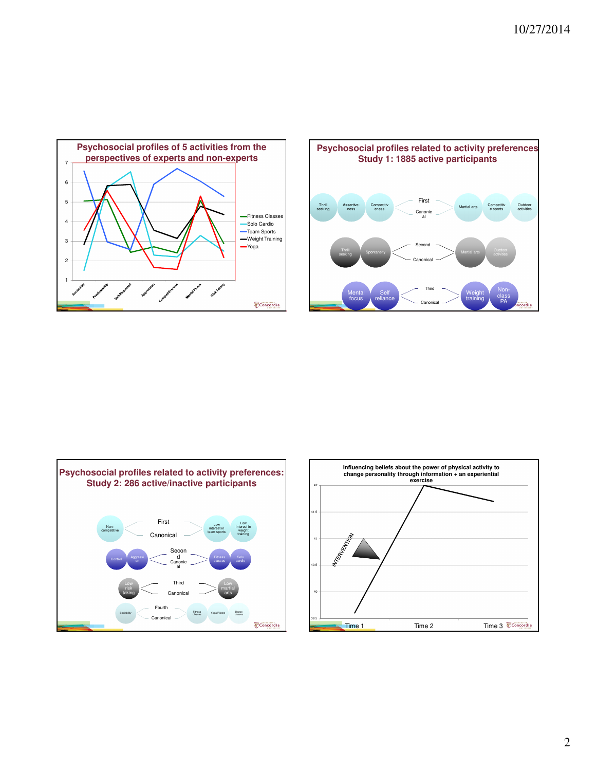